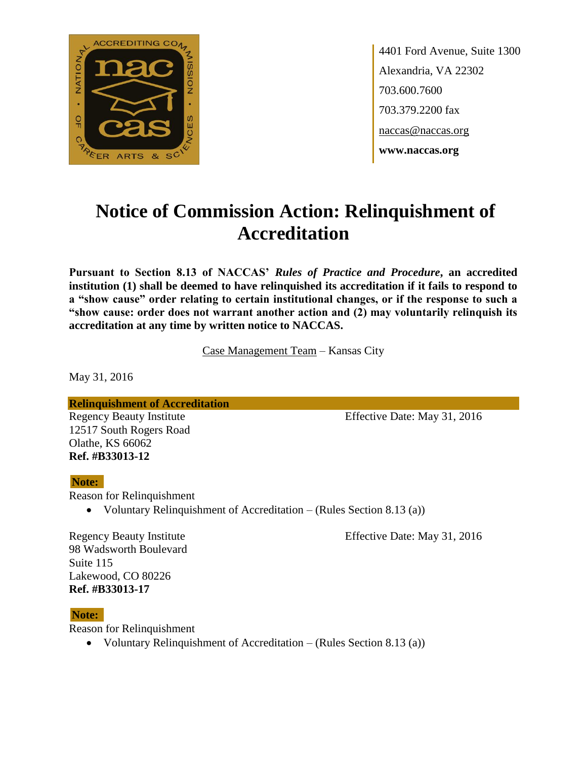

4401 Ford Avenue, Suite 1300 Alexandria, VA 22302 703.600.7600 703.379.2200 fax naccas@naccas.org **www.naccas.org**

# **Notice of Commission Action: Relinquishment of Accreditation**

**Pursuant to Section 8.13 of NACCAS'** *Rules of Practice and Procedure***, an accredited institution (1) shall be deemed to have relinquished its accreditation if it fails to respond to a "show cause" order relating to certain institutional changes, or if the response to such a "show cause: order does not warrant another action and (2) may voluntarily relinquish its accreditation at any time by written notice to NACCAS.**

Case Management Team – Kansas City

May 31, 2016

**Relinquishment of Accreditation**

12517 South Rogers Road Olathe, KS 66062 **Ref. #B33013-12**

Regency Beauty Institute Effective Date: May 31, 2016

#### **Note:**

Reason for Relinquishment

Voluntary Relinquishment of Accreditation – (Rules Section 8.13 (a))

Regency Beauty Institute Effective Date: May 31, 2016

98 Wadsworth Boulevard Suite 115 Lakewood, CO 80226 **Ref. #B33013-17**

#### **Note:**

Reason for Relinquishment

• Voluntary Relinquishment of Accreditation – (Rules Section 8.13 (a))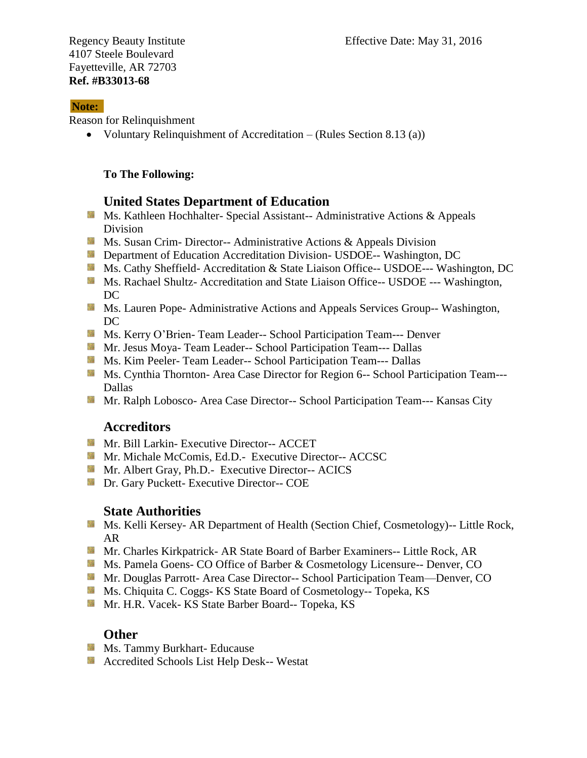4107 Steele Boulevard Fayetteville, AR 72703 **Ref. #B33013-68**

#### **Note:**

Reason for Relinquishment

Voluntary Relinquishment of Accreditation – (Rules Section 8.13 (a))

#### **To The Following:**

## **United States Department of Education**

- **Ms. Kathleen Hochhalter- Special Assistant-- Administrative Actions & Appeals** Division
- **MS. Susan Crim- Director-- Administrative Actions & Appeals Division**
- **Example 20 Interversity Department of Education Accreditation Division- USDOE-- Washington, DC**
- Ms. Cathy Sheffield- Accreditation & State Liaison Office-- USDOE--- Washington, DC
- **Ms. Rachael Shultz- Accreditation and State Liaison Office-- USDOE --- Washington,** DC
- **MS. Lauren Pope- Administrative Actions and Appeals Services Group-- Washington,** DC
- **MS. Kerry O'Brien- Team Leader-- School Participation Team--- Denver**
- **Mr. Jesus Moya- Team Leader-- School Participation Team--- Dallas**
- **Ms. Kim Peeler- Team Leader-- School Participation Team--- Dallas**
- Ms. Cynthia Thornton- Area Case Director for Region 6-- School Participation Team---Dallas
- **Mr. Ralph Lobosco- Area Case Director-- School Participation Team--- Kansas City**

### **Accreditors**

- **Mr. Bill Larkin- Executive Director-- ACCET**
- **Mr. Michale McComis, Ed.D.- Executive Director-- ACCSC**
- Mr. Albert Gray, Ph.D.- Executive Director-- ACICS
- **Dr.** Gary Puckett- Executive Director-- COE

## **State Authorities**

- Ms. Kelli Kersey- AR Department of Health (Section Chief, Cosmetology)-- Little Rock, AR
- **Mr. Charles Kirkpatrick- AR State Board of Barber Examiners-- Little Rock, AR**
- Ms. Pamela Goens- CO Office of Barber & Cosmetology Licensure-- Denver, CO
- Mr. Douglas Parrott- Area Case Director-- School Participation Team—Denver, CO
- **Ms.** Chiquita C. Coggs- KS State Board of Cosmetology-- Topeka, KS
- Mr. H.R. Vacek- KS State Barber Board-- Topeka, KS

## **Other**

- **Ms. Tammy Burkhart- Educause**
- **Accredited Schools List Help Desk-- Westat**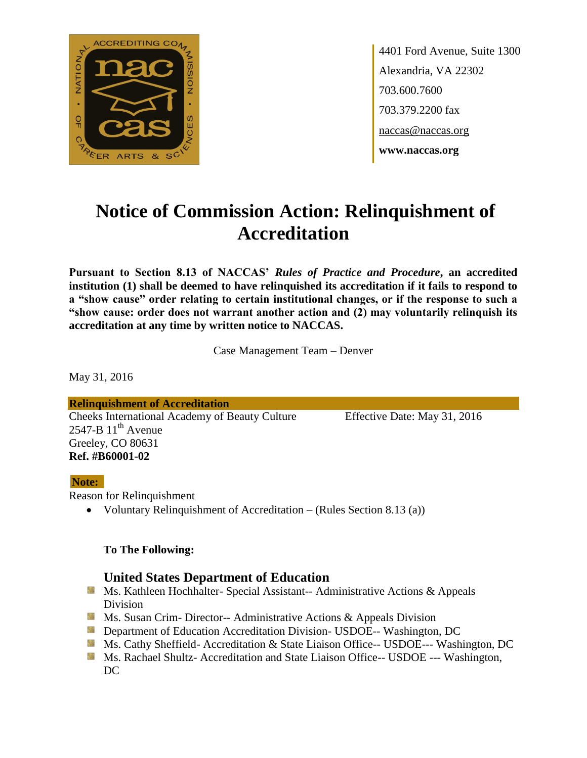

4401 Ford Avenue, Suite 1300 Alexandria, VA 22302 703.600.7600 703.379.2200 fax naccas@naccas.org **www.naccas.org**

# **Notice of Commission Action: Relinquishment of Accreditation**

**Pursuant to Section 8.13 of NACCAS'** *Rules of Practice and Procedure***, an accredited institution (1) shall be deemed to have relinquished its accreditation if it fails to respond to a "show cause" order relating to certain institutional changes, or if the response to such a "show cause: order does not warrant another action and (2) may voluntarily relinquish its accreditation at any time by written notice to NACCAS.**

Case Management Team – Denver

May 31, 2016

**Relinquishment of Accreditation** Cheeks International Academy of Beauty Culture Effective Date: May 31, 2016 2547-B  $11<sup>th</sup>$  Avenue Greeley, CO 80631 **Ref. #B60001-02**

#### **Note:**

Reason for Relinquishment

Voluntary Relinquishment of Accreditation – (Rules Section 8.13 (a))

#### **To The Following:**

### **United States Department of Education**

- **Ms. Kathleen Hochhalter- Special Assistant-- Administrative Actions & Appeals** Division
- **Ms. Susan Crim- Director-- Administrative Actions & Appeals Division**
- **Department of Education Accreditation Division- USDOE-- Washington, DC**
- Ms. Cathy Sheffield- Accreditation & State Liaison Office-- USDOE--- Washington, DC
- **MS. Rachael Shultz- Accreditation and State Liaison Office-- USDOE --- Washington,** DC